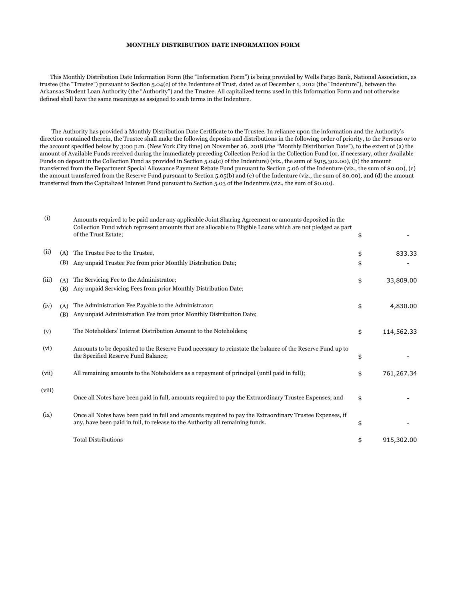## **MONTHLY DISTRIBUTION DATE INFORMATION FORM**

 This Monthly Distribution Date Information Form (the "Information Form") is being provided by Wells Fargo Bank, National Association, as trustee (the "Trustee") pursuant to Section 5.04(c) of the Indenture of Trust, dated as of December 1, 2012 (the "Indenture"), between the Arkansas Student Loan Authority (the "Authority") and the Trustee. All capitalized terms used in this Information Form and not otherwise defined shall have the same meanings as assigned to such terms in the Indenture.

 The Authority has provided a Monthly Distribution Date Certificate to the Trustee. In reliance upon the information and the Authority's direction contained therein, the Trustee shall make the following deposits and distributions in the following order of priority, to the Persons or to the account specified below by 3:00 p.m. (New York City time) on November 26, 2018 (the "Monthly Distribution Date"), to the extent of (a) the amount of Available Funds received during the immediately preceding Collection Period in the Collection Fund (or, if necessary, other Available Funds on deposit in the Collection Fund as provided in Section 5.04(c) of the Indenture) (viz., the sum of \$915,302.00), (b) the amount transferred from the Department Special Allowance Payment Rebate Fund pursuant to Section 5.06 of the Indenture (viz., the sum of \$0.00), (c) the amount transferred from the Reserve Fund pursuant to Section 5.05(b) and (c) of the Indenture (viz., the sum of \$0.00), and (d) the amount transferred from the Capitalized Interest Fund pursuant to Section 5.03 of the Indenture (viz., the sum of \$0.00).

| (i)    |            | Amounts required to be paid under any applicable Joint Sharing Agreement or amounts deposited in the<br>Collection Fund which represent amounts that are allocable to Eligible Loans which are not pledged as part<br>of the Trust Estate; | \$       |            |
|--------|------------|--------------------------------------------------------------------------------------------------------------------------------------------------------------------------------------------------------------------------------------------|----------|------------|
| (ii)   | (A)<br>(B) | The Trustee Fee to the Trustee,<br>Any unpaid Trustee Fee from prior Monthly Distribution Date;                                                                                                                                            | \$<br>\$ | 833.33     |
| (iii)  | (A)<br>(B) | The Servicing Fee to the Administrator;<br>Any unpaid Servicing Fees from prior Monthly Distribution Date;                                                                                                                                 | \$       | 33,809.00  |
| (iv)   | (A)<br>(B) | The Administration Fee Payable to the Administrator;<br>Any unpaid Administration Fee from prior Monthly Distribution Date;                                                                                                                | \$       | 4,830.00   |
| (v)    |            | The Noteholders' Interest Distribution Amount to the Noteholders;                                                                                                                                                                          | \$       | 114,562.33 |
| (vi)   |            | Amounts to be deposited to the Reserve Fund necessary to reinstate the balance of the Reserve Fund up to<br>the Specified Reserve Fund Balance;                                                                                            | \$       |            |
| (vii)  |            | All remaining amounts to the Noteholders as a repayment of principal (until paid in full);                                                                                                                                                 | \$       | 761,267.34 |
| (viii) |            | Once all Notes have been paid in full, amounts required to pay the Extraordinary Trustee Expenses; and                                                                                                                                     | \$       |            |
| (ix)   |            | Once all Notes have been paid in full and amounts required to pay the Extraordinary Trustee Expenses, if<br>any, have been paid in full, to release to the Authority all remaining funds.                                                  | \$       |            |
|        |            | <b>Total Distributions</b>                                                                                                                                                                                                                 | \$       | 915,302.00 |